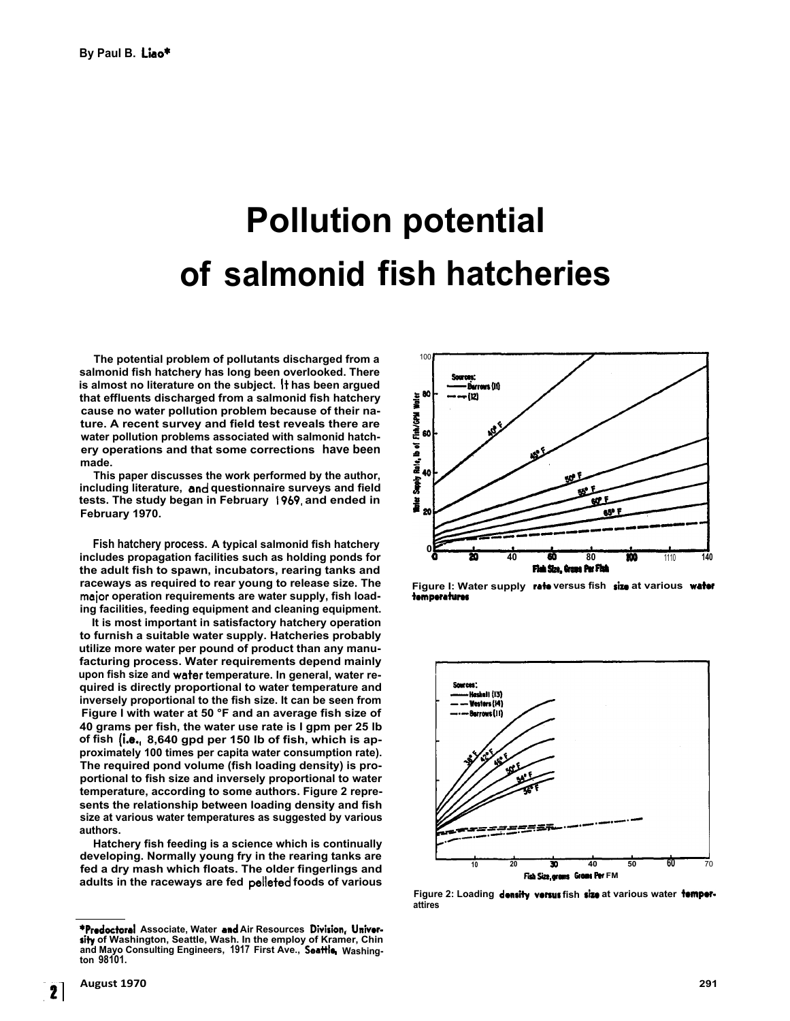## **Pollution potential of salmonid fish hatcheries**

**The potential problem of pollutants discharged from a salmonid fish hatchery has long been overlooked. There is almost no literature on the subject. It has been argued that effluents discharged from a salmonid fish hatchery cause no water pollution problem because of their nature. A recent survey and field test reveals there are water pollution problems associated with salmonid hatchery operations and that some corrections have been made.** 

**This paper discusses the work performed by the author,**  including literature, and questionnaire surveys and field **tests. The study began in February 1969,and ended in February 1970.** 

**Fish hatchery process. A typical salmonid fish hatchery includes propagation facilities such as holding ponds for the adult fish to spawn, incubators, rearing tanks and raceways as required to rear young to release size. The**  major operation requirements are water supply, fish load**ing facilities, feeding equipment and cleaning equipment.** 

**It is most important in satisfactory hatchery operation to furnish a suitable water supply. Hatcheries probably utilize more water per pound of product than any manufacturing process. Water requirements depend mainly**  upon fish size and water temperature. In general, water re**quired is directly proportional to water temperature and inversely proportional to the fish size. It can be seen from Figure I with water at 50 °F and an average fish size of 40 grams per fish, the water use rate is I gpm per 25 lb of fish (i.e., 8,640 gpd per 150 lb of fish, which is approximately 100 times per capita water consumption rate). The required pond volume (fish loading density) is proportional to fish size and inversely proportional to water temperature, according to some authors. Figure 2 represents the relationship between loading density and fish size at various water temperatures as suggested by various authors.** 

**Hatchery fish feeding is a science which is continually developing. Normally young fry in the rearing tanks are fed a dry mash which floats. The older fingerlings and adults in the raceways are fed pelletedfoods of various** 



Figure I: Water supply rate versus fish size at various water **temperatures** 



Figure 2: Loading density versus fish size at various water temper**attires** 

**<sup>\*</sup>Predoctoral Associate, Water andAir Resources Division, Universityof Washington, Seattle, Wash. In the employ of Kramer, Chin and Mayo Consulting Engineers, 1917 First Ave., Seattle, Washington 98101.**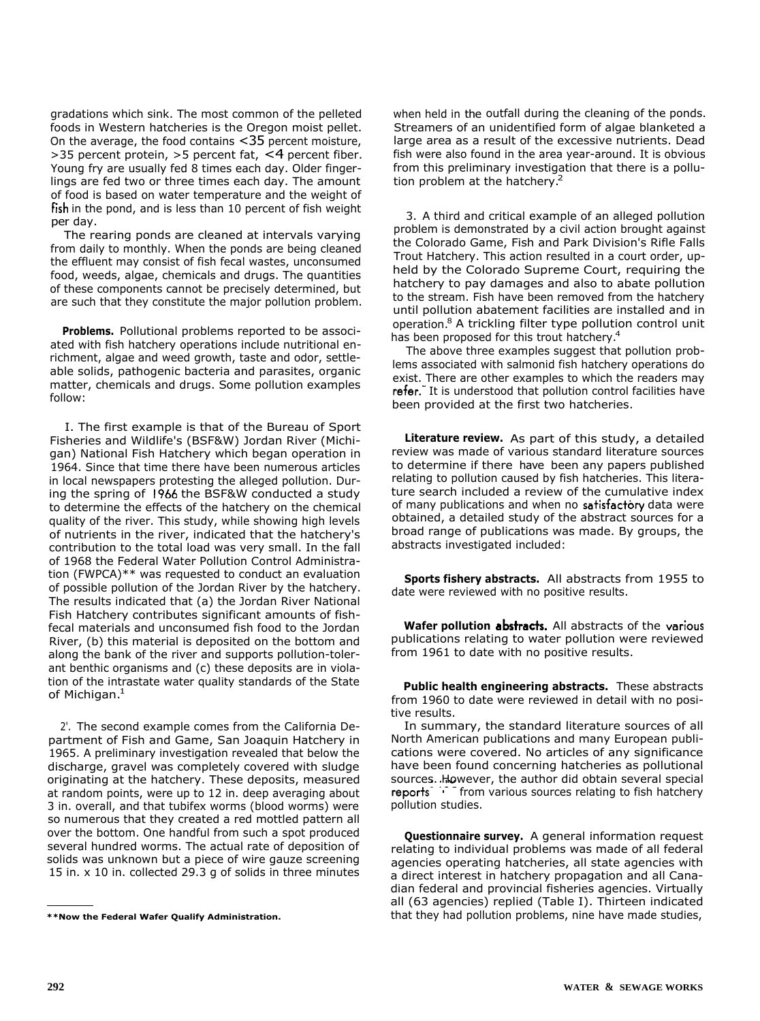gradations which sink. The most common of the pelleted foods in Western hatcheries is the Oregon moist pellet. On the average, the food contains <35 percent moisture, > 35 percent protein, > 5 percent fat, < 4 percent fiber. Young fry are usually fed 8 times each day. Older fingerlings are fed two or three times each day. The amount of food is based on water temperature and the weight of fish in the pond, and is less than 10 percent of fish weight per day.

The rearing ponds are cleaned at intervals varying from daily to monthly. When the ponds are being cleaned the effluent may consist of fish fecal wastes, unconsumed food, weeds, algae, chemicals and drugs. The quantities of these components cannot be precisely determined, but are such that they constitute the major pollution problem.

**Problems.** Pollutional problems reported to be associated with fish hatchery operations include nutritional enrichment, algae and weed growth, taste and odor, settleable solids, pathogenic bacteria and parasites, organic matter, chemicals and drugs. Some pollution examples follow:

I. The first example is that of the Bureau of Sport Fisheries and Wildlife's (BSF&W) Jordan River (Michigan) National Fish Hatchery which began operation in 1964. Since that time there have been numerous articles in local newspapers protesting the alleged pollution. During the spring of 1966 the BSF&W conducted a study to determine the effects of the hatchery on the chemical quality of the river. This study, while showing high levels of nutrients in the river, indicated that the hatchery's contribution to the total load was very small. In the fall of 1968 the Federal Water Pollution Control Administration (FWPCA)\*\* was requested to conduct an evaluation of possible pollution of the Jordan River by the hatchery. The results indicated that (a) the Jordan River National Fish Hatchery contributes significant amounts of fishfecal materials and unconsumed fish food to the Jordan River, (b) this material is deposited on the bottom and along the bank of the river and supports pollution-tolerant benthic organisms and (c) these deposits are in violation of the intrastate water quality standards of the State of Michigan.<sup>1</sup>

2'. The second example comes from the California Department of Fish and Game, San Joaquin Hatchery in 1965. A preliminary investigation revealed that below the discharge, gravel was completely covered with sludge originating at the hatchery. These deposits, measured at random points, were up to 12 in. deep averaging about 3 in. overall, and that tubifex worms (blood worms) were so numerous that they created a red mottled pattern all over the bottom. One handful from such a spot produced several hundred worms. The actual rate of deposition of solids was unknown but a piece of wire gauze screening 15 in. x 10 in. collected 29.3 g of solids in three minutes

when held in the outfall during the cleaning of the ponds. Streamers of an unidentified form of algae blanketed a large area as a result of the excessive nutrients. Dead fish were also found in the area year-around. It is obvious from this preliminary investigation that there is a pollution problem at the hatchery.<sup>2</sup>

3. A third and critical example of an alleged pollution problem is demonstrated by a civil action brought against the Colorado Game, Fish and Park Division's Rifle Falls Trout Hatchery. This action resulted in a court order, upheld by the Colorado Supreme Court, requiring the hatchery to pay damages and also to abate pollution to the stream. Fish have been removed from the hatchery until pollution abatement facilities are installed and in operation.<sup>8</sup> A trickling filter type pollution control unit has been proposed for this trout hatchery.<sup>4</sup>

The above three examples suggest that pollution problems associated with salmonid fish hatchery operations do exist. There are other examples to which the readers may refer.<sup>7</sup> It is understood that pollution control facilities have been provided at the first two hatcheries.

**Literature review.** As part of this study, a detailed review was made of various standard literature sources to determine if there have been any papers published relating to pollution caused by fish hatcheries. This literature search included a review of the cumulative index of many publications and when no satisfactory data were obtained, a detailed study of the abstract sources for a broad range of publications was made. By groups, the abstracts investigated included:

**Sports fishery abstracts.** All abstracts from 1955 to date were reviewed with no positive results.

**Wafer pollution abstracts.** All abstracts of the various publications relating to water pollution were reviewed from 1961 to date with no positive results.

**Public health engineering abstracts.** These abstracts from 1960 to date were reviewed in detail with no positive results.

In summary, the standard literature sources of all North American publications and many European publications were covered. No articles of any significance have been found concerning hatcheries as pollutional sources. However, the author did obtain several special reports<sup>4</sup> from various sources relating to fish hatchery pollution studies.

**Questionnaire survey.** A general information request relating to individual problems was made of all federal agencies operating hatcheries, all state agencies with a direct interest in hatchery propagation and all Canadian federal and provincial fisheries agencies. Virtually all (63 agencies) replied (Table I). Thirteen indicated that they had pollution problems, nine have made studies,

**<sup>\*\*</sup>Now the Federal Wafer Qualify Administration.**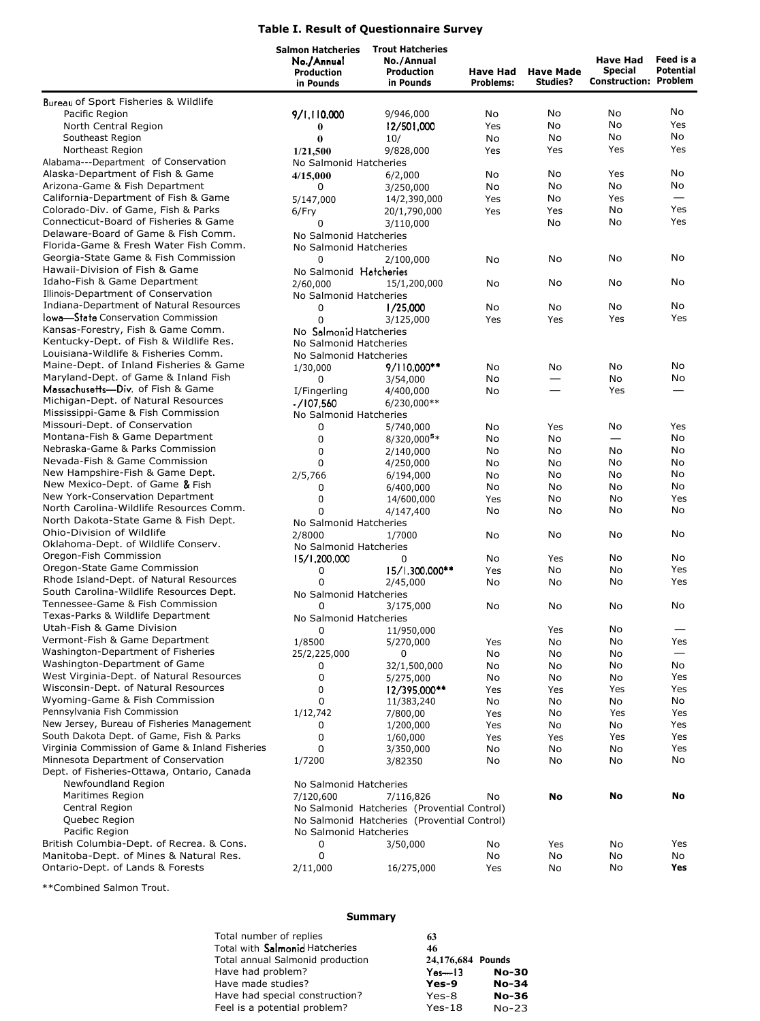## **Table I. Result of Questionnaire Survey**

|                                                                        | <b>Salmon Hatcheries</b><br>No./Annual<br><b>Production</b><br>in Pounds | <b>Trout Hatcheries</b><br>No./Annual<br>Production<br>in Pounds | Have Had<br><b>Problems:</b> | <b>Have Made</b><br>Studies? | <b>Have Had</b><br><b>Special</b><br><b>Construction: Problem</b> | Feed is a<br><b>Potential</b> |  |
|------------------------------------------------------------------------|--------------------------------------------------------------------------|------------------------------------------------------------------|------------------------------|------------------------------|-------------------------------------------------------------------|-------------------------------|--|
| Bureau of Sport Fisheries & Wildlife                                   |                                                                          |                                                                  |                              |                              |                                                                   |                               |  |
| Pacific Region                                                         | 9/1.110.000                                                              | 9/946,000                                                        | No                           | No                           | No                                                                | No                            |  |
| North Central Region                                                   | $\bf{0}$                                                                 | 12/501,000                                                       | Yes                          | No                           | No                                                                | Yes                           |  |
| Southeast Region                                                       | $\bf{0}$                                                                 | 10/                                                              | No                           | No                           | No                                                                | No                            |  |
| Northeast Region                                                       | 1/21,500                                                                 | 9/828,000                                                        | Yes                          | Yes                          | Yes                                                               | Yes                           |  |
| Alabama---Department of Conservation                                   | No Salmonid Hatcheries                                                   |                                                                  |                              |                              |                                                                   |                               |  |
| Alaska-Department of Fish & Game                                       | 4/15,000                                                                 | 6/2,000                                                          | No                           | No                           | Yes                                                               | No                            |  |
| Arizona-Game & Fish Department                                         | 0                                                                        | 3/250,000                                                        | No                           | No                           | No                                                                | No                            |  |
| California-Department of Fish & Game                                   | 5/147,000                                                                | 14/2,390,000                                                     | Yes                          | No                           | Yes                                                               |                               |  |
| Colorado-Div. of Game, Fish & Parks                                    | 6/Fry                                                                    | 20/1,790,000                                                     | Yes                          | Yes                          | No                                                                | Yes                           |  |
| Connecticut-Board of Fisheries & Game                                  | 0                                                                        | 3/110,000                                                        |                              | No                           | No                                                                | Yes                           |  |
| Delaware-Board of Game & Fish Comm.                                    | No Salmonid Hatcheries                                                   |                                                                  |                              |                              |                                                                   |                               |  |
| Florida-Game & Fresh Water Fish Comm.                                  | No Salmonid Hatcheries                                                   |                                                                  |                              |                              |                                                                   |                               |  |
| Georgia-State Game & Fish Commission<br>Hawaii-Division of Fish & Game | 0                                                                        | 2/100,000                                                        | No                           | No                           | No                                                                | No                            |  |
| Idaho-Fish & Game Department                                           | No Salmonid Hatcheries                                                   |                                                                  |                              |                              |                                                                   | No                            |  |
| Illinois-Department of Conservation                                    | 2/60,000<br>No Salmonid Hatcheries                                       | 15/1,200,000                                                     | No                           | No                           | No                                                                |                               |  |
| Indiana-Department of Natural Resources                                | 0                                                                        | 1/25,000                                                         | No                           | No                           | No                                                                | No                            |  |
| lowa—State Conservation Commission                                     | 0                                                                        | 3/125,000                                                        | Yes                          | Yes                          | Yes                                                               | Yes                           |  |
| Kansas-Forestry, Fish & Game Comm.                                     | No Salmonid Hatcheries                                                   |                                                                  |                              |                              |                                                                   |                               |  |
| Kentucky-Dept. of Fish & Wildlife Res.                                 | No Salmonid Hatcheries                                                   |                                                                  |                              |                              |                                                                   |                               |  |
| Louisiana-Wildlife & Fisheries Comm.                                   | No Salmonid Hatcheries                                                   |                                                                  |                              |                              |                                                                   |                               |  |
| Maine-Dept. of Inland Fisheries & Game                                 | 1/30,000                                                                 | 9/110,000**                                                      | No                           | No                           | No                                                                | No                            |  |
| Maryland-Dept. of Game & Inland Fish                                   | 0                                                                        | 3/54,000                                                         | No                           |                              | No                                                                | No                            |  |
| Massachusetts-Div. of Fish & Game                                      | I/Fingerling                                                             | 4/400,000                                                        | No                           |                              | Yes                                                               |                               |  |
| Michigan-Dept. of Natural Resources                                    | -/107.560                                                                | 6/230,000**                                                      |                              |                              |                                                                   |                               |  |
| Mississippi-Game & Fish Commission                                     | No Salmonid Hatcheries                                                   |                                                                  |                              |                              |                                                                   |                               |  |
| Missouri-Dept. of Conservation                                         | 0                                                                        | 5/740,000                                                        | No                           | Yes                          | No                                                                | Yes                           |  |
| Montana-Fish & Game Department                                         | 0                                                                        | $8/320,000$ <sup>5*</sup>                                        | No                           | No                           | $\overline{\phantom{0}}$                                          | No                            |  |
| Nebraska-Game & Parks Commission                                       | 0                                                                        | 2/140,000                                                        | No                           | No                           | No                                                                | No                            |  |
| Nevada-Fish & Game Commission                                          | 0                                                                        | 4/250,000                                                        | No                           | No                           | No                                                                | No                            |  |
| New Hampshire-Fish & Game Dept.<br>New Mexico-Dept. of Game & Fish     | 2/5,766                                                                  | 6/194,000                                                        | No                           | No                           | No                                                                | No                            |  |
| New York-Conservation Department                                       | 0                                                                        | 6/400,000                                                        | No                           | No                           | No<br>No                                                          | No<br>Yes                     |  |
| North Carolina-Wildlife Resources Comm.                                | 0<br>0                                                                   | 14/600,000                                                       | Yes                          | No<br>No                     | No                                                                | No                            |  |
| North Dakota-State Game & Fish Dept.                                   | No Salmonid Hatcheries                                                   | 4/147,400                                                        | No                           |                              |                                                                   |                               |  |
| Ohio-Division of Wildlife                                              | 2/8000                                                                   | 1/7000                                                           | No                           | No                           | No                                                                | No                            |  |
| Oklahoma-Dept. of Wildlife Conserv.                                    | No Salmonid Hatcheries                                                   |                                                                  |                              |                              |                                                                   |                               |  |
| Oregon-Fish Commission                                                 | 15/1,200,000                                                             | 0                                                                | No                           | Yes                          | No                                                                | No                            |  |
| Oregon-State Game Commission                                           | 0                                                                        | $15/1,300,000**$                                                 | Yes                          | No                           | No                                                                | Yes                           |  |
| Rhode Island-Dept. of Natural Resources                                | 0                                                                        | 2/45,000                                                         | No                           | No                           | No                                                                | Yes                           |  |
| South Carolina-Wildlife Resources Dept.                                | No Salmonid Hatcheries                                                   |                                                                  |                              |                              |                                                                   |                               |  |
| Tennessee-Game & Fish Commission                                       | 0                                                                        | 3/175,000                                                        | No                           | No                           | No                                                                | No                            |  |
| Texas-Parks & Wildlife Department                                      | No Salmonid Hatcheries                                                   |                                                                  |                              |                              |                                                                   |                               |  |
| Utah-Fish & Game Division                                              | 0                                                                        | 11/950,000                                                       |                              | Yes                          | No                                                                |                               |  |
| Vermont-Fish & Game Department                                         | 1/8500                                                                   | 5/270,000                                                        | Yes                          | No                           | No                                                                | Yes                           |  |
| Washington-Department of Fisheries                                     | 25/2,225,000                                                             | 0                                                                | No                           | No                           | No                                                                |                               |  |
| Washington-Department of Game                                          | 0                                                                        | 32/1,500,000                                                     | No                           | No                           | No                                                                | No                            |  |
| West Virginia-Dept. of Natural Resources                               | 0                                                                        | 5/275,000                                                        | No                           | No                           | No                                                                | Yes                           |  |
| Wisconsin-Dept. of Natural Resources<br>Wyoming-Game & Fish Commission | 0<br>0                                                                   | 12/395.000**                                                     | Yes                          | Yes                          | Yes                                                               | Yes                           |  |
| Pennsylvania Fish Commission                                           | 1/12,742                                                                 | 11/383,240<br>7/800,00                                           | No<br>Yes                    | No<br>No                     | No<br>Yes                                                         | No<br>Yes                     |  |
| New Jersey, Bureau of Fisheries Management                             | 0                                                                        | 1/200,000                                                        | Yes                          | No                           | No                                                                | Yes                           |  |
| South Dakota Dept. of Game, Fish & Parks                               | 0                                                                        | 1/60,000                                                         | Yes                          | Yes                          | Yes                                                               | Yes                           |  |
| Virginia Commission of Game & Inland Fisheries                         | 0                                                                        | 3/350,000                                                        | No                           | No                           | No                                                                | Yes                           |  |
| Minnesota Department of Conservation                                   | 1/7200                                                                   | 3/82350                                                          | No                           | No                           | No                                                                | No                            |  |
| Dept. of Fisheries-Ottawa, Ontario, Canada                             |                                                                          |                                                                  |                              |                              |                                                                   |                               |  |
| Newfoundland Region                                                    | No Salmonid Hatcheries                                                   |                                                                  |                              |                              |                                                                   |                               |  |
| Maritimes Region                                                       | 7/120,600                                                                | 7/116,826                                                        | No                           | No                           | No                                                                | No                            |  |
| Central Region                                                         |                                                                          | No Salmonid Hatcheries (Provential Control)                      |                              |                              |                                                                   |                               |  |
| Quebec Region                                                          |                                                                          | No Salmonid Hatcheries (Provential Control)                      |                              |                              |                                                                   |                               |  |
| Pacific Region                                                         | No Salmonid Hatcheries                                                   |                                                                  |                              |                              |                                                                   |                               |  |
| British Columbia-Dept. of Recrea. & Cons.                              | 0                                                                        | 3/50,000                                                         | No                           | Yes                          | No                                                                | Yes                           |  |
| Manitoba-Dept. of Mines & Natural Res.                                 | 0                                                                        |                                                                  | No                           | No                           | No                                                                | No                            |  |
| Ontario-Dept. of Lands & Forests                                       | 2/11,000                                                                 | 16/275,000                                                       | Yes                          | No                           | No                                                                | Yes                           |  |

\*\*Combined Salmon Trout.

## **Summary**

| Total number of replies<br>63                         |              |
|-------------------------------------------------------|--------------|
| Total with Salmonid Hatcheries<br>46                  |              |
| Total annual Salmonid production<br>24,176,684 Pounds |              |
| Have had problem?<br>$Yes - 13$                       | <b>No-30</b> |
| Have made studies?<br>Yes-9                           | $No-34$      |
| Have had special construction?<br>Yes-8               | <b>No-36</b> |
| Feel is a potential problem?<br>$Yes-18$              | $No-23$      |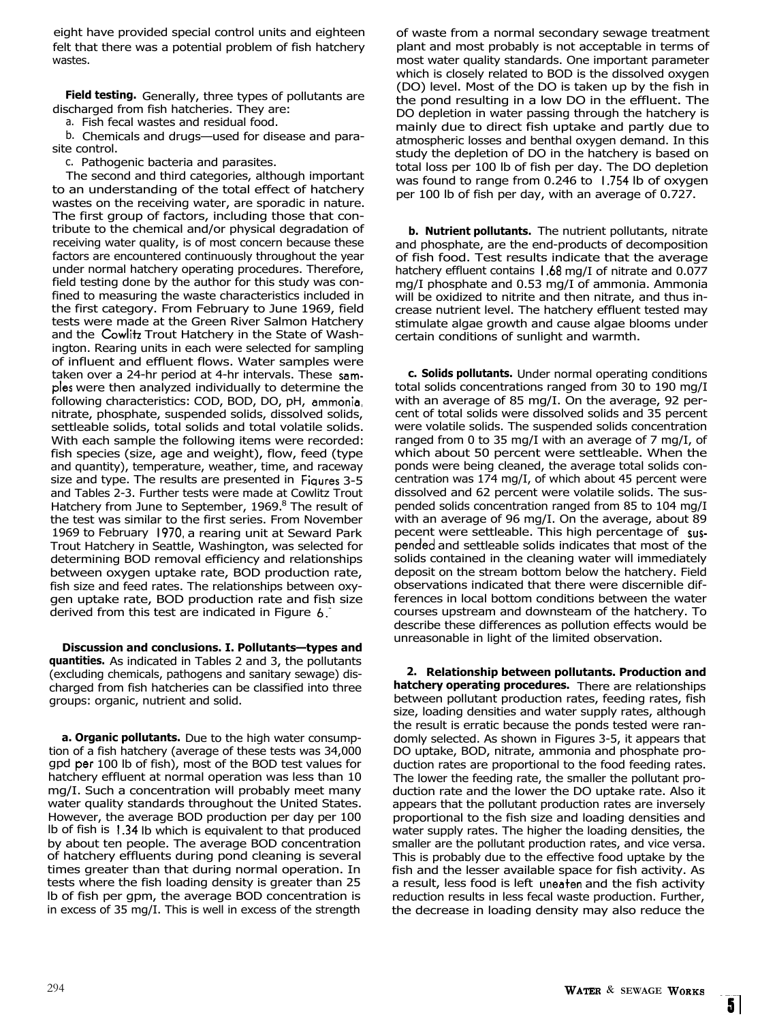eight have provided special control units and eighteen felt that there was a potential problem of fish hatchery wastes.

**Field testing.** Generally, three types of pollutants are discharged from fish hatcheries. They are:

a. Fish fecal wastes and residual food.

b. Chemicals and drugs—used for disease and parasite control.

c. Pathogenic bacteria and parasites.

The second and third categories, although important to an understanding of the total effect of hatchery wastes on the receiving water, are sporadic in nature. The first group of factors, including those that contribute to the chemical and/or physical degradation of receiving water quality, is of most concern because these factors are encountered continuously throughout the year under normal hatchery operating procedures. Therefore, field testing done by the author for this study was confined to measuring the waste characteristics included in the first category. From February to June 1969, field tests were made at the Green River Salmon Hatchery and the Cowlitz Trout Hatchery in the State of Washington. Rearing units in each were selected for sampling of influent and effluent flows. Water samples were taken over a 24-hr period at 4-hr intervals. These samples were then analyzed individually to determine the following characteristics: COD, BOD, DO, pH, ammonia, nitrate, phosphate, suspended solids, dissolved solids, settleable solids, total solids and total volatile solids. With each sample the following items were recorded: fish species (size, age and weight), flow, feed (type and quantity), temperature, weather, time, and raceway size and type. The results are presented in Figures 3-5 and Tables 2-3. Further tests were made at Cowlitz Trout Hatchery from June to September, 1969.<sup>8</sup> The result of the test was similar to the first series. From November 1969 to February 1970, a rearing unit at Seward Park Trout Hatchery in Seattle, Washington, was selected for determining BOD removal efficiency and relationships between oxygen uptake rate, BOD production rate, fish size and feed rates. The relationships between oxygen uptake rate, BOD production rate and fish size derived from this test are indicated in Figure  $6.9$ 

**Discussion and conclusions. I. Pollutants—types and quantities.** As indicated in Tables 2 and 3, the pollutants (excluding chemicals, pathogens and sanitary sewage) discharged from fish hatcheries can be classified into three groups: organic, nutrient and solid.

**a. Organic pollutants.** Due to the high water consumption of a fish hatchery (average of these tests was 34,000 gpd per100 lb of fish), most of the BOD test values for hatchery effluent at normal operation was less than 10 mg/I. Such a concentration will probably meet many water quality standards throughout the United States. However, the average BOD production per day per 100 lb of fish is 1.34lb which is equivalent to that produced by about ten people. The average BOD concentration of hatchery effluents during pond cleaning is several times greater than that during normal operation. In tests where the fish loading density is greater than 25 lb of fish per gpm, the average BOD concentration is in excess of 35 mg/I. This is well in excess of the strength

of waste from a normal secondary sewage treatment plant and most probably is not acceptable in terms of most water quality standards. One important parameter which is closely related to BOD is the dissolved oxygen (DO) level. Most of the DO is taken up by the fish in the pond resulting in a low DO in the effluent. The DO depletion in water passing through the hatchery is mainly due to direct fish uptake and partly due to atmospheric losses and benthal oxygen demand. In this study the depletion of DO in the hatchery is based on total loss per 100 lb of fish per day. The DO depletion was found to range from 0.246 to 1.754 lb of oxygen per 100 lb of fish per day, with an average of 0.727.

**b. Nutrient pollutants.** The nutrient pollutants, nitrate and phosphate, are the end-products of decomposition of fish food. Test results indicate that the average hatchery effluent contains 1.68mg/I of nitrate and 0.077 mg/I phosphate and 0.53 mg/I of ammonia. Ammonia will be oxidized to nitrite and then nitrate, and thus increase nutrient level. The hatchery effluent tested may stimulate algae growth and cause algae blooms under certain conditions of sunlight and warmth.

**c. Solids pollutants.** Under normal operating conditions total solids concentrations ranged from 30 to 190 mg/I with an average of 85 mg/I. On the average, 92 percent of total solids were dissolved solids and 35 percent were volatile solids. The suspended solids concentration ranged from 0 to 35 mg/I with an average of 7 mg/I, of which about 50 percent were settleable. When the ponds were being cleaned, the average total solids concentration was 174 mg/I, of which about 45 percent were dissolved and 62 percent were volatile solids. The suspended solids concentration ranged from 85 to 104 mg/I with an average of 96 mg/I. On the average, about 89 pecent were settleable. This high percentage of suspended and settleable solids indicates that most of the solids contained in the cleaning water will immediately deposit on the stream bottom below the hatchery. Field observations indicated that there were discernible differences in local bottom conditions between the water courses upstream and downsteam of the hatchery. To describe these differences as pollution effects would be unreasonable in light of the limited observation.

**2. Relationship between pollutants. Production and hatchery operating procedures.** There are relationships between pollutant production rates, feeding rates, fish size, loading densities and water supply rates, although the result is erratic because the ponds tested were randomly selected. As shown in Figures 3-5, it appears that DO uptake, BOD, nitrate, ammonia and phosphate production rates are proportional to the food feeding rates. The lower the feeding rate, the smaller the pollutant production rate and the lower the DO uptake rate. Also it appears that the pollutant production rates are inversely proportional to the fish size and loading densities and water supply rates. The higher the loading densities, the smaller are the pollutant production rates, and vice versa. This is probably due to the effective food uptake by the fish and the lesser available space for fish activity. As a result, less food is left uneatenand the fish activity reduction results in less fecal waste production. Further, the decrease in loading density may also reduce the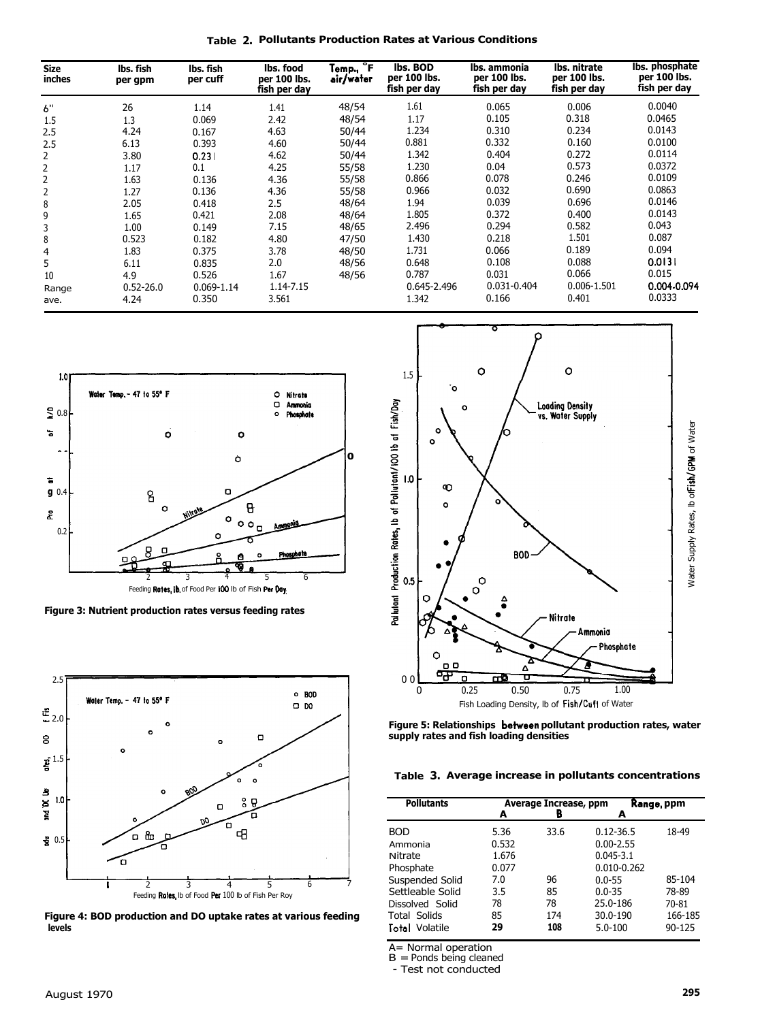**Table 2. Pollutants Production Rates at Various Conditions** 

| <b>Size</b><br>inches | lbs. fish<br>per gpm | lbs. fish<br>per cuff | lbs. food<br>per 100 lbs.<br>fish per day | Temp., <b>F</b><br>air/water | lbs. BOD<br>per 100 lbs.<br>fish per day | lbs. ammonia<br>per 100 lbs.<br>fish per day | Ibs. nitrate<br>per 100 lbs.<br>fish per day | lbs. phosphate<br>per 100 lbs.<br>fish per day |
|-----------------------|----------------------|-----------------------|-------------------------------------------|------------------------------|------------------------------------------|----------------------------------------------|----------------------------------------------|------------------------------------------------|
| 6"                    | 26                   | 1.14                  | 1.41                                      | 48/54                        | 1.61                                     | 0.065                                        | 0.006                                        | 0.0040                                         |
| 1.5                   | 1.3                  | 0.069                 | 2.42                                      | 48/54                        | 1.17                                     | 0.105                                        | 0.318                                        | 0.0465                                         |
| 2.5                   | 4.24                 | 0.167                 | 4.63                                      | 50/44                        | 1.234                                    | 0.310                                        | 0.234                                        | 0.0143                                         |
| 2.5                   | 6.13                 | 0.393                 | 4.60                                      | 50/44                        | 0.881                                    | 0.332                                        | 0.160                                        | 0.0100                                         |
| 2                     | 3.80                 | 0.231                 | 4.62                                      | 50/44                        | 1.342                                    | 0.404                                        | 0.272                                        | 0.0114                                         |
| 2                     | 1.17                 | 0.1                   | 4.25                                      | 55/58                        | 1.230                                    | 0.04                                         | 0.573                                        | 0.0372                                         |
| 2                     | 1.63                 | 0.136                 | 4.36                                      | 55/58                        | 0.866                                    | 0.078                                        | 0.246                                        | 0.0109                                         |
| 2                     | 1.27                 | 0.136                 | 4.36                                      | 55/58                        | 0.966                                    | 0.032                                        | 0.690                                        | 0.0863                                         |
| 8                     | 2.05                 | 0.418                 | 2.5                                       | 48/64                        | 1.94                                     | 0.039                                        | 0.696                                        | 0.0146                                         |
| 9                     | 1.65                 | 0.421                 | 2.08                                      | 48/64                        | 1.805                                    | 0.372                                        | 0.400                                        | 0.0143                                         |
| 3                     | 1.00                 | 0.149                 | 7.15                                      | 48/65                        | 2.496                                    | 0.294                                        | 0.582                                        | 0.043                                          |
| 8                     | 0.523                | 0.182                 | 4.80                                      | 47/50                        | 1.430                                    | 0.218                                        | 1.501                                        | 0.087                                          |
| 4                     | 1.83                 | 0.375                 | 3.78                                      | 48/50                        | 1.731                                    | 0.066                                        | 0.189                                        | 0.094                                          |
| 5                     | 6.11                 | 0.835                 | 2.0                                       | 48/56                        | 0.648                                    | 0.108                                        | 0.088                                        | 0.0131                                         |
| 10                    | 4.9                  | 0.526                 | 1.67                                      | 48/56                        | 0.787                                    | 0.031                                        | 0.066                                        | 0.015                                          |
| Range                 | $0.52 - 26.0$        | $0.069 - 1.14$        | 1.14-7.15                                 |                              | 0.645-2.496                              | 0.031-0.404                                  | 0.006-1.501                                  | 0.004-0.094                                    |
| ave.                  | 4.24                 | 0.350                 | 3.561                                     |                              | 1.342                                    | 0.166                                        | 0.401                                        | 0.0333                                         |



**Figure 3: Nutrient production rates versus feeding rates** 



**Figure 4: BOD production and DO uptake rates at various feeding levels** 



**Figure 5: Relationships betweenpollutant production rates, water supply rates and fish loading densities** 

**Table 3. Average increase in pollutants concentrations** 

| <b>Pollutants</b> | А     | Average Increase, ppm<br>B<br>А |                 | Range, ppm |  |  |
|-------------------|-------|---------------------------------|-----------------|------------|--|--|
|                   |       |                                 |                 |            |  |  |
| <b>BOD</b>        | 5.36  | 33.6                            | $0.12 - 36.5$   | 18-49      |  |  |
| Ammonia           | 0.532 |                                 | $0.00 - 2.55$   |            |  |  |
| Nitrate           | 1.676 |                                 | $0.045 - 3.1$   |            |  |  |
| Phosphate         | 0.077 |                                 | $0.010 - 0.262$ |            |  |  |
| Suspended Solid   | 7.0   | 96                              | $0.0 - 55$      | 85-104     |  |  |
| Settleable Solid  | 3.5   | 85                              | $0.0 - 35$      | 78-89      |  |  |
| Dissolved Solid   | 78    | 78                              | 25.0-186        | 70-81      |  |  |
| Total Solids      | 85    | 174                             | 30.0-190        | 166-185    |  |  |
| Total Volatile    | 29    | 108                             | $5.0 - 100$     | $90 - 125$ |  |  |

A= Normal operation<br>B = Ponds being cleaned

- Test not conducted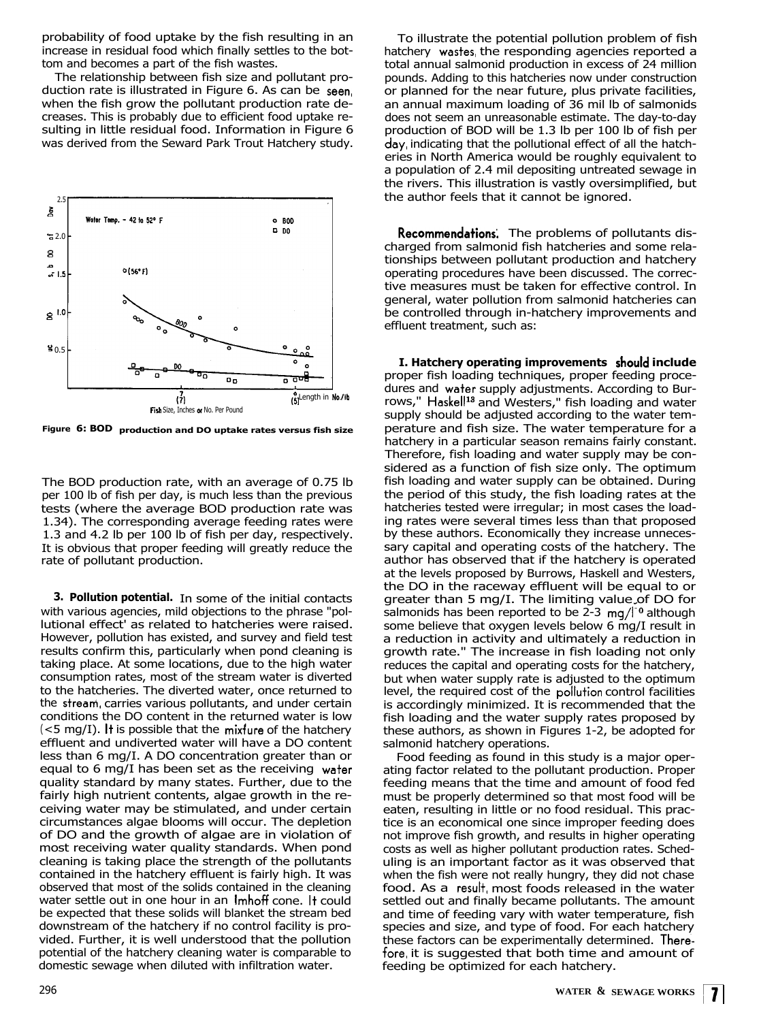probability of food uptake by the fish resulting in an increase in residual food which finally settles to the bottom and becomes a part of the fish wastes.

The relationship between fish size and pollutant production rate is illustrated in Figure 6. As can be seen, when the fish grow the pollutant production rate decreases. This is probably due to efficient food uptake resulting in little residual food. Information in Figure 6 was derived from the Seward Park Trout Hatchery study.



**Figure 6: BOD production and DO uptake rates versus fish size** 

The BOD production rate, with an average of 0.75 lb per 100 lb of fish per day, is much less than the previous tests (where the average BOD production rate was 1.34). The corresponding average feeding rates were 1.3 and 4.2 lb per 100 lb of fish per day, respectively. It is obvious that proper feeding will greatly reduce the rate of pollutant production.

**3. Pollution potential.** In some of the initial contacts with various agencies, mild objections to the phrase "pollutional effect' as related to hatcheries were raised. However, pollution has existed, and survey and field test results confirm this, particularly when pond cleaning is taking place. At some locations, due to the high water consumption rates, most of the stream water is diverted to the hatcheries. The diverted water, once returned to the streani,carries various pollutants, and under certain conditions the DO content in the returned water is low  $(<$ 5 mg/I). It is possible that the mixfure of the hatchery effluent and undiverted water will have a DO content less than 6 mg/I. A DO concentration greater than or equal to 6 mg/I has been set as the receiving water quality standard by many states. Further, due to the fairly high nutrient contents, algae growth in the receiving water may be stimulated, and under certain circumstances algae blooms will occur. The depletion of DO and the growth of algae are in violation of most receiving water quality standards. When pond cleaning is taking place the strength of the pollutants contained in the hatchery effluent is fairly high. It was observed that most of the solids contained in the cleaning water settle out in one hour in an Imhoff cone. It could be expected that these solids will blanket the stream bed downstream of the hatchery if no control facility is provided. Further, it is well understood that the pollution potential of the hatchery cleaning water is comparable to domestic sewage when diluted with infiltration water.

To illustrate the potential pollution problem of fish hatchery wastes, the responding agencies reported a total annual salmonid production in excess of 24 million pounds. Adding to this hatcheries now under construction or planned for the near future, plus private facilities, an annual maximum loading of 36 mil lb of salmonids does not seem an unreasonable estimate. The day-to-day production of BOD will be 1.3 lb per 100 lb of fish per day, indicating that the pollutional effect of all the hatcheries in North America would be roughly equivalent to a population of 2.4 mil depositing untreated sewage in the rivers. This illustration is vastly oversimplified, but the author feels that it cannot be ignored.

**Recommendations'.** The problems of pollutants discharged from salmonid fish hatcheries and some relationships between pollutant production and hatchery operating procedures have been discussed. The corrective measures must be taken for effective control. In general, water pollution from salmonid hatcheries can be controlled through in-hatchery improvements and effluent treatment, such as:

**I. Hatchery operating improvements Shouldinclude**  proper fish loading techniques, proper feeding procedures and water supply adjustments. According to Burrows," Haskell<sup>13</sup> and Westers," fish loading and water supply should be adjusted according to the water temperature and fish size. The water temperature for a hatchery in a particular season remains fairly constant. Therefore, fish loading and water supply may be considered as a function of fish size only. The optimum fish loading and water supply can be obtained. During the period of this study, the fish loading rates at the hatcheries tested were irregular; in most cases the loading rates were several times less than that proposed by these authors. Economically they increase unnecessary capital and operating costs of the hatchery. The author has observed that if the hatchery is operated at the levels proposed by Burrows, Haskell and Westers, the DO in the raceway effluent will be equal to or greater than 5 mg/I. The limiting value of DO for salmonids has been reported to be  $2-3$  mg/ $1^{\circ}$  although some believe that oxygen levels below 6 mg/I result in a reduction in activity and ultimately a reduction in growth rate." The increase in fish loading not only reduces the capital and operating costs for the hatchery, but when water supply rate is adjusted to the optimum level, the required cost of the pollution control facilities is accordingly minimized. It is recommended that the fish loading and the water supply rates proposed by these authors, as shown in Figures 1-2, be adopted for salmonid hatchery operations.

Food feeding as found in this study is a major operating factor related to the pollutant production. Proper feeding means that the time and amount of food fed must be properly determined so that most food will be eaten, resulting in little or no food residual. This practice is an economical one since improper feeding does not improve fish growth, and results in higher operating costs as well as higher pollutant production rates. Scheduling is an important factor as it was observed that when the fish were not really hungry, they did not chase food. As a result most foods released in the water settled out and finally became pollutants. The amount and time of feeding vary with water temperature, fish species and size, and type of food. For each hatchery these factors can be experimentally determined. Therefore, it is suggested that both time and amount of feeding be optimized for each hatchery.